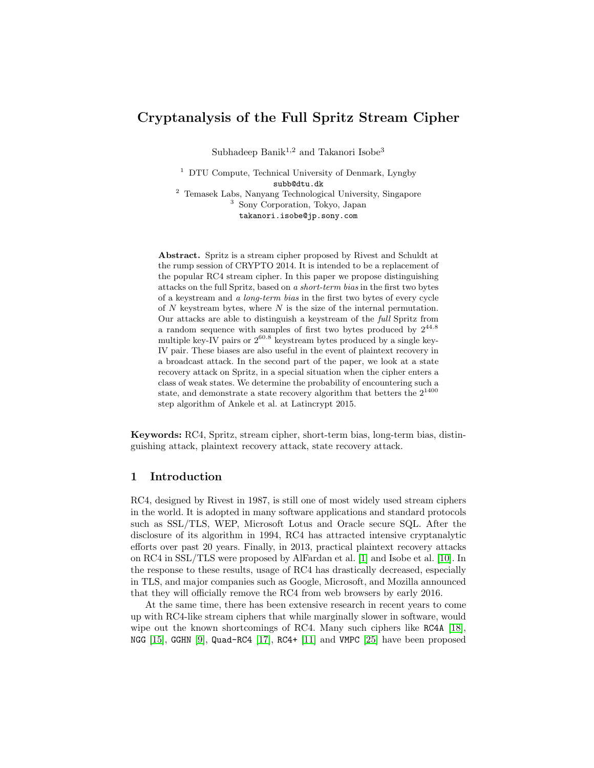# Cryptanalysis of the Full Spritz Stream Cipher

Subhadeep Banik<sup>1,2</sup> and Takanori Isobe<sup>3</sup>

<sup>1</sup> DTU Compute, Technical University of Denmark, Lyngby subb@dtu.dk <sup>2</sup> Temasek Labs, Nanyang Technological University, Singapore <sup>3</sup> Sony Corporation, Tokyo, Japan takanori.isobe@jp.sony.com

Abstract. Spritz is a stream cipher proposed by Rivest and Schuldt at the rump session of CRYPTO 2014. It is intended to be a replacement of the popular RC4 stream cipher. In this paper we propose distinguishing attacks on the full Spritz, based on a short-term bias in the first two bytes of a keystream and a long-term bias in the first two bytes of every cycle of  $N$  keystream bytes, where  $N$  is the size of the internal permutation. Our attacks are able to distinguish a keystream of the full Spritz from a random sequence with samples of first two bytes produced by  $2^{44.8}$ multiple key-IV pairs or  $2^{60.8}$  keystream bytes produced by a single key-IV pair. These biases are also useful in the event of plaintext recovery in a broadcast attack. In the second part of the paper, we look at a state recovery attack on Spritz, in a special situation when the cipher enters a class of weak states. We determine the probability of encountering such a state, and demonstrate a state recovery algorithm that betters the  $2^{1400}$ step algorithm of Ankele et al. at Latincrypt 2015.

Keywords: RC4, Spritz, stream cipher, short-term bias, long-term bias, distinguishing attack, plaintext recovery attack, state recovery attack.

# 1 Introduction

RC4, designed by Rivest in 1987, is still one of most widely used stream ciphers in the world. It is adopted in many software applications and standard protocols such as SSL/TLS, WEP, Microsoft Lotus and Oracle secure SQL. After the disclosure of its algorithm in 1994, RC4 has attracted intensive cryptanalytic efforts over past 20 years. Finally, in 2013, practical plaintext recovery attacks on RC4 in SSL/TLS were proposed by AlFardan et al. [\[1\]](#page-13-0) and Isobe et al. [\[10\]](#page-14-0). In the response to these results, usage of RC4 has drastically decreased, especially in TLS, and major companies such as Google, Microsoft, and Mozilla announced that they will officially remove the RC4 from web browsers by early 2016.

At the same time, there has been extensive research in recent years to come up with RC4-like stream ciphers that while marginally slower in software, would wipe out the known shortcomings of RC4. Many such ciphers like RC4A [\[18\]](#page-14-1), NGG [\[15\]](#page-14-2), GGHN [\[9\]](#page-14-3), Quad-RC4 [\[17\]](#page-14-4), RC4+ [\[11\]](#page-14-5) and VMPC [\[25\]](#page-15-0) have been proposed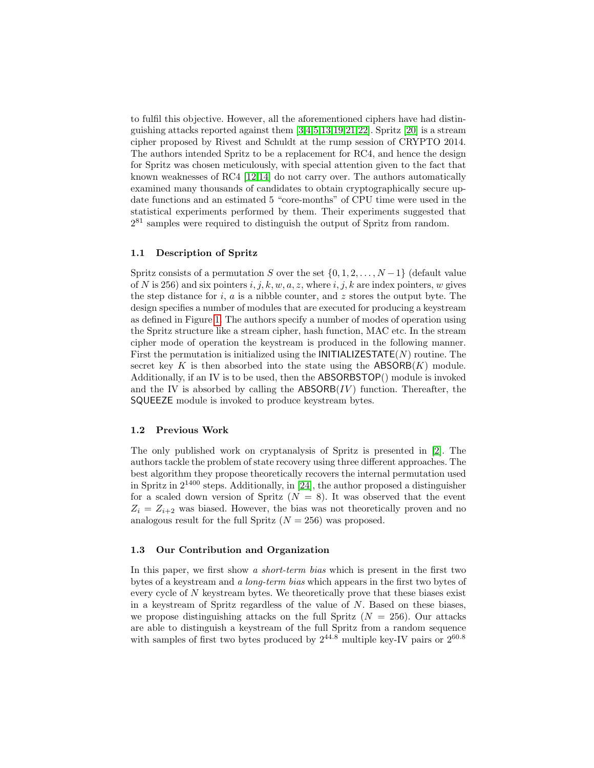to fulfil this objective. However, all the aforementioned ciphers have had distinguishing attacks reported against them [\[3,](#page-14-6)[4,](#page-14-7)[5](#page-14-8)[,13,](#page-14-9)[19,](#page-14-10)[21,](#page-14-11)[22\]](#page-14-12). Spritz [\[20\]](#page-14-13) is a stream cipher proposed by Rivest and Schuldt at the rump session of CRYPTO 2014. The authors intended Spritz to be a replacement for RC4, and hence the design for Spritz was chosen meticulously, with special attention given to the fact that known weaknesses of RC4 [\[12,](#page-14-14)[14\]](#page-14-15) do not carry over. The authors automatically examined many thousands of candidates to obtain cryptographically secure update functions and an estimated 5 "core-months" of CPU time were used in the statistical experiments performed by them. Their experiments suggested that 2 <sup>81</sup> samples were required to distinguish the output of Spritz from random.

#### 1.1 Description of Spritz

Spritz consists of a permutation S over the set  $\{0, 1, 2, \ldots, N-1\}$  (default value of N is 256) and six pointers  $i, j, k, w, a, z$ , where  $i, j, k$  are index pointers, w gives the step distance for i, a is a nibble counter, and z stores the output byte. The design specifies a number of modules that are executed for producing a keystream as defined in Figure [1.](#page-2-0) The authors specify a number of modes of operation using the Spritz structure like a stream cipher, hash function, MAC etc. In the stream cipher mode of operation the keystream is produced in the following manner. First the permutation is initialized using the **INITIALIZESTATE** $(N)$  routine. The secret key K is then absorbed into the state using the  $ABSORB(K)$  module. Additionally, if an IV is to be used, then the ABSORBSTOP() module is invoked and the IV is absorbed by calling the  $\mathsf{ABSORB}(IV)$  function. Thereafter, the SQUEEZE module is invoked to produce keystream bytes.

#### 1.2 Previous Work

The only published work on cryptanalysis of Spritz is presented in [\[2\]](#page-14-16). The authors tackle the problem of state recovery using three different approaches. The best algorithm they propose theoretically recovers the internal permutation used in Spritz in  $2^{1400}$  steps. Additionally, in [\[24\]](#page-15-1), the author proposed a distinguisher for a scaled down version of Spritz  $(N = 8)$ . It was observed that the event  $Z_i = Z_{i+2}$  was biased. However, the bias was not theoretically proven and no analogous result for the full Spritz  $(N = 256)$  was proposed.

#### 1.3 Our Contribution and Organization

In this paper, we first show a *short-term bias* which is present in the first two bytes of a keystream and a long-term bias which appears in the first two bytes of every cycle of N keystream bytes. We theoretically prove that these biases exist in a keystream of Spritz regardless of the value of N. Based on these biases, we propose distinguishing attacks on the full Spritz  $(N = 256)$ . Our attacks are able to distinguish a keystream of the full Spritz from a random sequence with samples of first two bytes produced by  $2^{44.8}$  multiple key-IV pairs or  $2^{60.8}$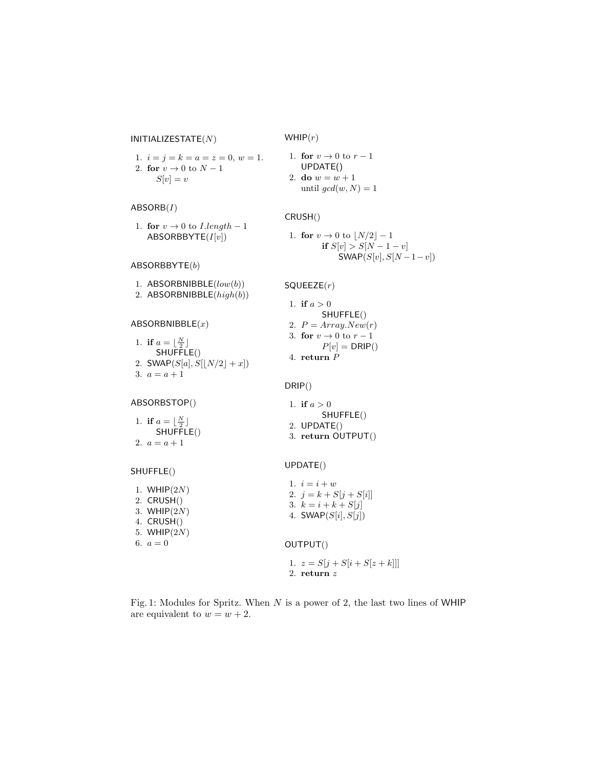#### <span id="page-2-0"></span> $INITIALIZESTATE(N)$

 $WHIP(r)$ 

1. 
$$
i = j = k = a = z = 0, w = 1.
$$
  
2. **for**  $v \to 0$  to  $N - 1$   
 $S[v] = v$ 

# $ABSORB(I)$

1. for  $v \rightarrow 0$  to  $I.length - 1$ ABSORBBYTE $(I[v])$ 

# $ABSORBBYTE(b)$

1. ABSORBNIBBLE(low(b)) 2. ABSORBNIBBLE(high(b))

### $ABSORBNIBBLE(x)$

1. if  $a = \lfloor \frac{N}{2} \rfloor$ SHUFFLE() 2.  $SWAP(S[a], S[\lfloor N/2 \rfloor + x])$ 3.  $a = a + 1$ 

# 1. for  $v \rightarrow 0$  to  $r-1$

UPDATE()  
2. do 
$$
w = w + 1
$$
  
until  $gcd(w, N) = 1$ 

# CRUSH()

1. for 
$$
v \to 0
$$
 to  $\lfloor N/2 \rfloor - 1$   
if  $S[v] > S[N - 1 - v]$   
SWAP $(S[v], S[N - 1 - v])$ 

#### $SQUEEZE(r)$

1. if  $a > 0$ SHUFFLE() 2.  $P = Array.New(r)$ 3. for  $v \to 0$  to  $r-1$  $P[v] = DRIP()$ 4. return P

SHUFFLE()

1. if  $a > 0$ 

2. UPDATE() 3. return OUTPUT()

# DRIP()

| ABSORBSTOP() |  |
|--------------|--|
|              |  |

1. if  $a = \lfloor \frac{N}{2} \rfloor$  $SHU$ FFLE() 2.  $a = a + 1$ 

#### SHUFFLE()

UPDATE()

| 1. WHIP $(2N)$<br>2. CRUSH()<br>3. WHIP $(2N)$<br>4. CRUSH()<br>5. WHIP $(2N)$ | 1. $i = i + w$<br>2. $j = k + S[j + S[i]]$<br>3. $k = i + k + S[j]$<br>4. $SWAP(S[i], S[j])$ |
|--------------------------------------------------------------------------------|----------------------------------------------------------------------------------------------|
| 6. $a = 0$                                                                     | OUTPUT()                                                                                     |
|                                                                                | 1. $z = S[i + S[i + S[z + k]]$<br>2. return $z$                                              |

# Fig. 1: Modules for Spritz. When  $N$  is a power of 2, the last two lines of WHIP are equivalent to  $w = w + 2$ .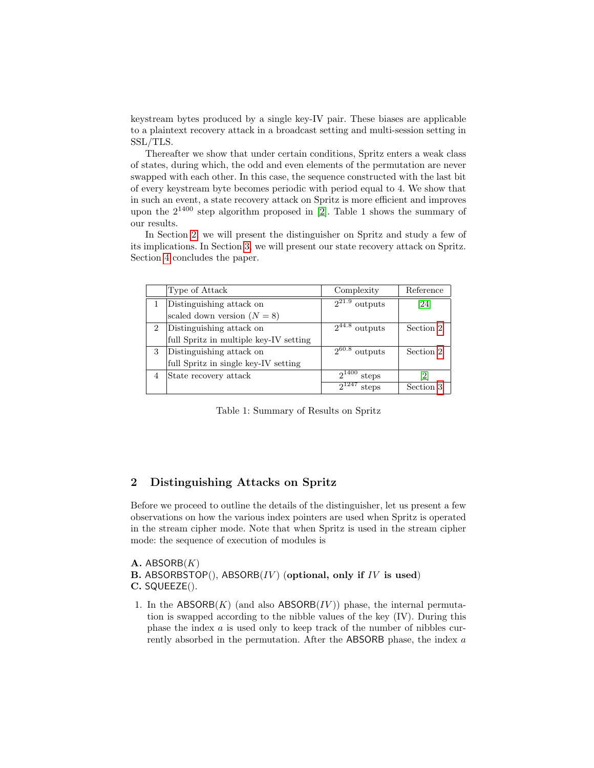keystream bytes produced by a single key-IV pair. These biases are applicable to a plaintext recovery attack in a broadcast setting and multi-session setting in SSL/TLS.

Thereafter we show that under certain conditions, Spritz enters a weak class of states, during which, the odd and even elements of the permutation are never swapped with each other. In this case, the sequence constructed with the last bit of every keystream byte becomes periodic with period equal to 4. We show that in such an event, a state recovery attack on Spritz is more efficient and improves upon the  $2^{1400}$  step algorithm proposed in [\[2\]](#page-14-16). Table 1 shows the summary of our results.

In Section [2,](#page-3-0) we will present the distinguisher on Spritz and study a few of its implications. In Section [3,](#page-8-0) we will present our state recovery attack on Spritz. Section [4](#page-13-1) concludes the paper.

|   | Type of Attack                         | Complexity                     | Reference |
|---|----------------------------------------|--------------------------------|-----------|
|   | Distinguishing attack on               | $2^{21.9}$<br>outputs          | [24]      |
|   | scaled down version $(N = 8)$          |                                |           |
| 2 | Distinguishing attack on               | $2^{44.8}$<br>outputs          | Section 2 |
|   | full Spritz in multiple key-IV setting |                                |           |
| 3 | Distinguishing attack on               | 0.60.8<br>outputs              | Section 2 |
|   | full Spritz in single key-IV setting   |                                |           |
|   | State recovery attack                  | $2^{1\overline{400}}$<br>steps | [2]       |
|   |                                        | $2^{1247}$<br>steps            | Section 3 |

Table 1: Summary of Results on Spritz

# <span id="page-3-0"></span>2 Distinguishing Attacks on Spritz

Before we proceed to outline the details of the distinguisher, let us present a few observations on how the various index pointers are used when Spritz is operated in the stream cipher mode. Note that when Spritz is used in the stream cipher mode: the sequence of execution of modules is

A. ABSORB $(K)$ B. ABSORBSTOP $(),$  ABSORB $(IV)$  (optional, only if IV is used) C. SQUEEZE().

1. In the  $ABSORB(K)$  (and also  $ABSORB(IV)$ ) phase, the internal permutation is swapped according to the nibble values of the key (IV). During this phase the index a is used only to keep track of the number of nibbles currently absorbed in the permutation. After the ABSORB phase, the index a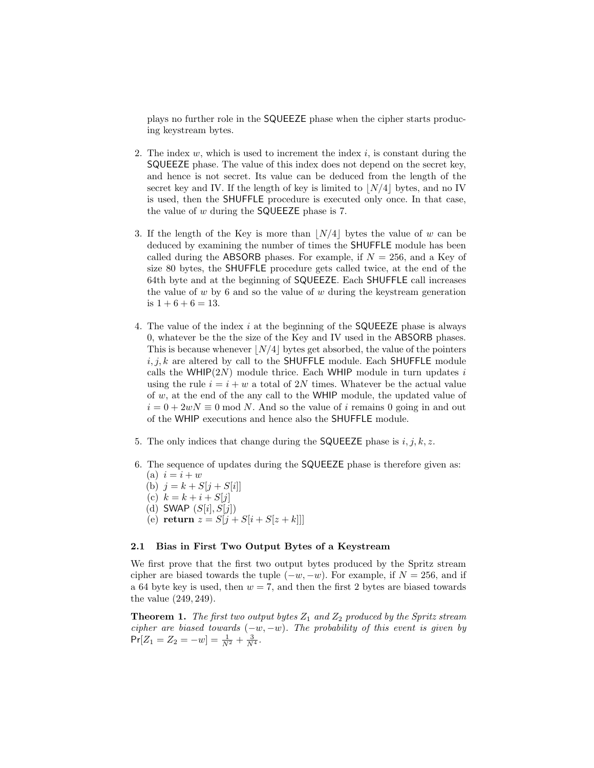plays no further role in the SQUEEZE phase when the cipher starts producing keystream bytes.

- 2. The index  $w$ , which is used to increment the index  $i$ , is constant during the SQUEEZE phase. The value of this index does not depend on the secret key, and hence is not secret. Its value can be deduced from the length of the secret key and IV. If the length of key is limited to  $\vert N/4 \vert$  bytes, and no IV is used, then the SHUFFLE procedure is executed only once. In that case, the value of  $w$  during the **SQUEEZE** phase is 7.
- 3. If the length of the Key is more than  $|N/4|$  bytes the value of w can be deduced by examining the number of times the SHUFFLE module has been called during the ABSORB phases. For example, if  $N = 256$ , and a Key of size 80 bytes, the SHUFFLE procedure gets called twice, at the end of the 64th byte and at the beginning of SQUEEZE. Each SHUFFLE call increases the value of  $w$  by 6 and so the value of  $w$  during the keystream generation is  $1 + 6 + 6 = 13$ .
- 4. The value of the index i at the beginning of the **SQUEEZE** phase is always 0, whatever be the the size of the Key and IV used in the ABSORB phases. This is because whenever  $\lfloor N/4 \rfloor$  bytes get absorbed, the value of the pointers  $i, j, k$  are altered by call to the SHUFFLE module. Each SHUFFLE module calls the WHIP $(2N)$  module thrice. Each WHIP module in turn updates i using the rule  $i = i + w$  a total of 2N times. Whatever be the actual value of w, at the end of the any call to the WHIP module, the updated value of  $i = 0 + 2wN \equiv 0 \mod N$ . And so the value of i remains 0 going in and out of the WHIP executions and hence also the SHUFFLE module.
- 5. The only indices that change during the SQUEEZE phase is  $i, j, k, z$ .
- 6. The sequence of updates during the SQUEEZE phase is therefore given as: (a)  $i = i + w$ 
	- (b)  $j = k + S[j + S[i]]$
	- (c)  $k = k + i + S[j]$
	- (d) SWAP  $(S[i], S[j])$
	- (e) return  $z = S[j + S[i + S[z + k]]]$

#### 2.1 Bias in First Two Output Bytes of a Keystream

We first prove that the first two output bytes produced by the Spritz stream cipher are biased towards the tuple  $(-w, -w)$ . For example, if  $N = 256$ , and if a 64 byte key is used, then  $w = 7$ , and then the first 2 bytes are biased towards the value (249, 249).

<span id="page-4-0"></span>**Theorem 1.** The first two output bytes  $Z_1$  and  $Z_2$  produced by the Spritz stream cipher are biased towards  $(-w, -w)$ . The probability of this event is given by  $Pr[Z_1 = Z_2 = -w] = \frac{1}{N^2} + \frac{3}{N^4}.$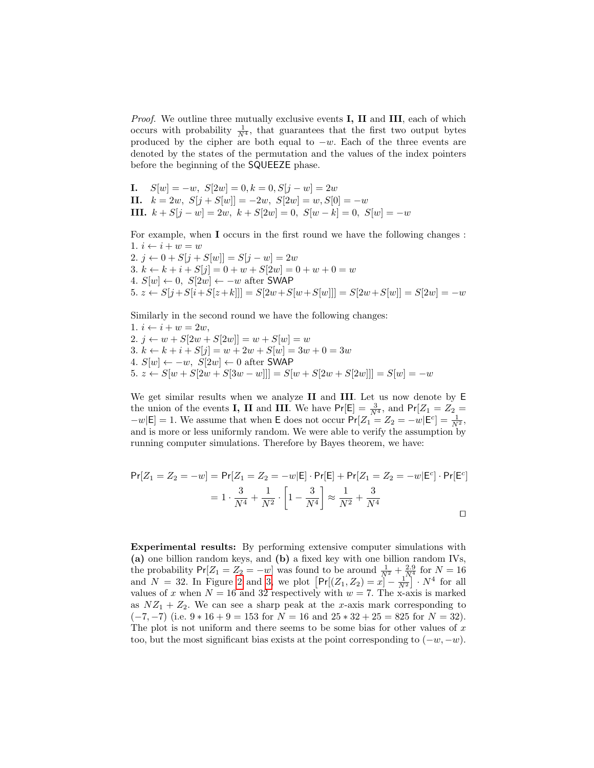*Proof.* We outline three mutually exclusive events **I**, **II** and **III**, each of which occurs with probability  $\frac{1}{N^4}$ , that guarantees that the first two output bytes produced by the cipher are both equal to  $-w$ . Each of the three events are denoted by the states of the permutation and the values of the index pointers before the beginning of the SQUEEZE phase.

I.  $S[w] = -w, S[2w] = 0, k = 0, S[j - w] = 2w$ II.  $k = 2w$ ,  $S[j + S[w]] = -2w$ ,  $S[2w] = w$ ,  $S[0] = -w$ III.  $k + S[j - w] = 2w, k + S[2w] = 0, S[w - k] = 0, S[w] = -w$ 

For example, when I occurs in the first round we have the following changes : 1.  $i \leftarrow i + w = w$ 2.  $j \leftarrow 0 + S[j + S[w]] = S[j - w] = 2w$ 3.  $k \leftarrow k + i + S[j] = 0 + w + S[2w] = 0 + w + 0 = w$ 4.  $S[w] \leftarrow 0$ ,  $S[2w] \leftarrow -w$  after SWAP 5.  $z \leftarrow S[j + S[i + S[z + k]]] = S[2w + S[w + S[w]]] = S[2w + S[w]] = S[2w] = -w$ 

Similarly in the second round we have the following changes:

1.  $i \leftarrow i + w = 2w$ , 2.  $j \leftarrow w + S[2w + S[2w]] = w + S[w] = w$ 3.  $k \leftarrow k + i + S[j] = w + 2w + S[w] = 3w + 0 = 3w$ 4.  $S[w] \leftarrow -w$ ,  $S[2w] \leftarrow 0$  after SWAP 5.  $z \leftarrow S[w + S[2w + S[3w - w]]] = S[w + S[2w + S[2w]]] = S[w] = -w$ 

We get similar results when we analyze II and III. Let us now denote by E the union of the events **I**, **II** and **III**. We have  $Pr[E] = \frac{3}{N^4}$ , and  $Pr[Z_1 = Z_2]$  $-w[E] = 1$ . We assume that when E does not occur  $Pr[Z_1 = Z_2 = -w|E^c] = \frac{1}{N^2}$ , and is more or less uniformly random. We were able to verify the assumption by running computer simulations. Therefore by Bayes theorem, we have:

$$
Pr[Z_1 = Z_2 = -w] = Pr[Z_1 = Z_2 = -w|E] \cdot Pr[E] + Pr[Z_1 = Z_2 = -w|E^c] \cdot Pr[E^c]
$$
  
=  $1 \cdot \frac{3}{N^4} + \frac{1}{N^2} \cdot \left[1 - \frac{3}{N^4}\right] \approx \frac{1}{N^2} + \frac{3}{N^4}$ 

Experimental results: By performing extensive computer simulations with (a) one billion random keys, and (b) a fixed key with one billion random IVs, the probability  $Pr[Z_1 = Z_2 = -w]$  was found to be around  $\frac{1}{N^2} + \frac{2.9}{N^4}$  for  $N = 16$ and  $N = 32$ . In Figure [2](#page-6-0) and [3,](#page-6-1) we plot  $\left[\Pr[(Z_1, Z_2) = x] - \frac{1}{N^2}\right] \cdot N^4$  for all values of x when  $N = 16$  and 32 respectively with  $w = 7$ . The x-axis is marked as  $NZ_1 + Z_2$ . We can see a sharp peak at the x-axis mark corresponding to  $(-7, -7)$  (i.e.  $9 * 16 + 9 = 153$  for  $N = 16$  and  $25 * 32 + 25 = 825$  for  $N = 32$ ). The plot is not uniform and there seems to be some bias for other values of  $x$ too, but the most significant bias exists at the point corresponding to  $(-w, -w)$ .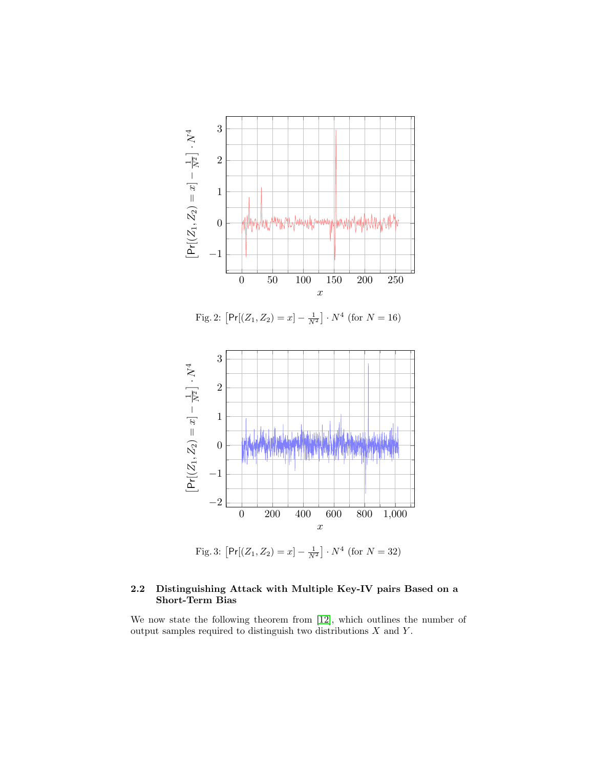<span id="page-6-0"></span>

<span id="page-6-1"></span>

<span id="page-6-2"></span>Fig. 3:  $\left[Pr[(Z_1, Z_2) = x] - \frac{1}{N^2}\right] \cdot N^4$  (for  $N = 32$ )

# 2.2 Distinguishing Attack with Multiple Key-IV pairs Based on a Short-Term Bias

We now state the following theorem from [\[12\]](#page-14-14), which outlines the number of output samples required to distinguish two distributions  $X$  and  $Y$ .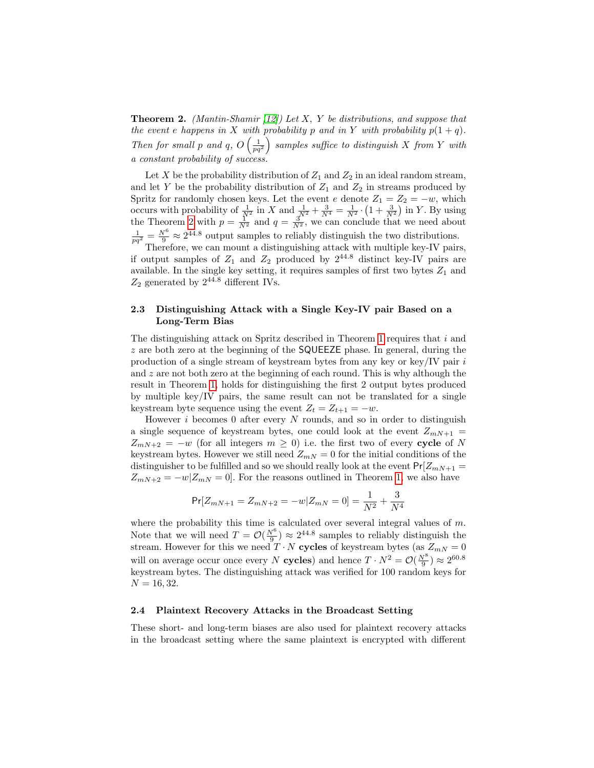**Theorem 2.** (Mantin-Shamir [\[12\]](#page-14-14)) Let X, Y be distributions, and suppose that the event e happens in X with probability p and in Y with probability  $p(1 + q)$ . Then for small p and q,  $O\left(\frac{1}{pq^2}\right)$  $\big)$  samples suffice to distinguish X from Y with a constant probability of success.

Let X be the probability distribution of  $Z_1$  and  $Z_2$  in an ideal random stream, and let Y be the probability distribution of  $Z_1$  and  $Z_2$  in streams produced by Spritz for randomly chosen keys. Let the event e denote  $Z_1 = Z_2 = -w$ , which occurs with probability of  $\frac{1}{N^2}$  in X and  $\frac{1}{N^2} + \frac{3}{N^4} = \frac{1}{N^2} \cdot \left(1 + \frac{3}{N^2}\right)$  in Y. By using the Theorem [2](#page-6-2) with  $p = \frac{1}{N^2}$  and  $q = \frac{3}{N^2}$ , we can conclude that we need about  $\frac{1}{pq^2} = \frac{N^6}{9} \approx 2^{44.8}$  output samples to reliably distinguish the two distributions.

Therefore, we can mount a distinguishing attack with multiple key-IV pairs, if output samples of  $Z_1$  and  $Z_2$  produced by  $2^{44.8}$  distinct key-IV pairs are available. In the single key setting, it requires samples of first two bytes  $Z_1$  and  $Z_2$  generated by  $2^{44.8}$  different IVs.

## 2.3 Distinguishing Attack with a Single Key-IV pair Based on a Long-Term Bias

The distinguishing attack on Spritz described in Theorem [1](#page-4-0) requires that  $i$  and  $z$  are both zero at the beginning of the **SQUEEZE** phase. In general, during the production of a single stream of keystream bytes from any key or key/IV pair  $i$ and  $z$  are not both zero at the beginning of each round. This is why although the result in Theorem [1,](#page-4-0) holds for distinguishing the first 2 output bytes produced by multiple key/IV pairs, the same result can not be translated for a single keystream byte sequence using the event  $Z_t = Z_{t+1} = -w$ .

However  $i$  becomes 0 after every  $N$  rounds, and so in order to distinguish a single sequence of keystream bytes, one could look at the event  $Z_{mN+1}$  =  $Z_{mN+2} = -w$  (for all integers  $m \geq 0$ ) i.e. the first two of every cycle of N keystream bytes. However we still need  $Z_{mN} = 0$  for the initial conditions of the distinguisher to be fulfilled and so we should really look at the event  $Pr[Z_{mN+1}$  =  $Z_{mN+2} = -w|Z_{mN} = 0$ . For the reasons outlined in Theorem [1,](#page-4-0) we also have

$$
\Pr[Z_{mN+1}=Z_{mN+2}=-w|Z_{mN}=0]=\frac{1}{N^2}+\frac{3}{N^4}
$$

where the probability this time is calculated over several integral values of  $m$ . Note that we will need  $T = \mathcal{O}(\frac{N^6}{9}) \approx 2^{44.8}$  samples to reliably distinguish the stream. However for this we need  $T \cdot N$  cycles of keystream bytes (as  $Z_{mN} = 0$ will on average occur once every N **cycles**) and hence  $T \cdot N^2 = \mathcal{O}(\frac{N^8}{9}) \approx 2^{60.8}$ keystream bytes. The distinguishing attack was verified for 100 random keys for  $N = 16, 32.$ 

# 2.4 Plaintext Recovery Attacks in the Broadcast Setting

These short- and long-term biases are also used for plaintext recovery attacks in the broadcast setting where the same plaintext is encrypted with different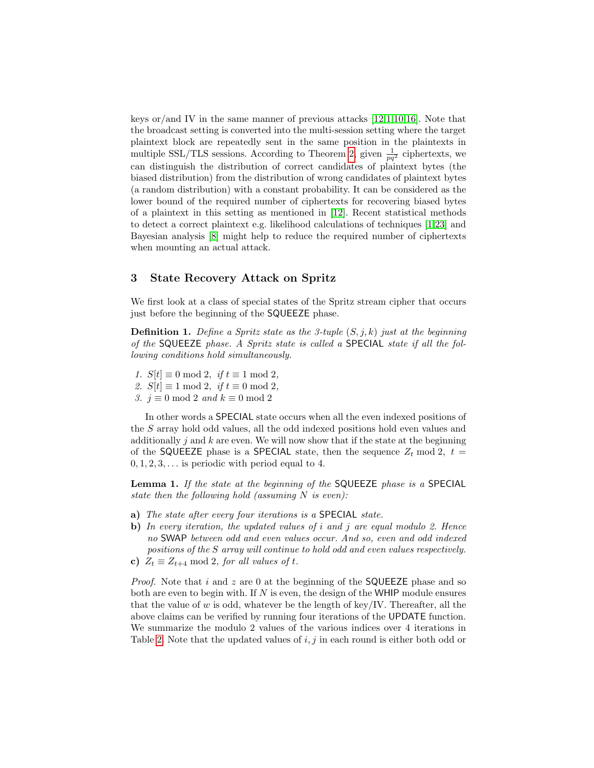keys or/and IV in the same manner of previous attacks  $[12,1,10,16]$  $[12,1,10,16]$  $[12,1,10,16]$  $[12,1,10,16]$ . Note that the broadcast setting is converted into the multi-session setting where the target plaintext block are repeatedly sent in the same position in the plaintexts in multiple SSL/TLS sessions. According to Theorem [2,](#page-6-2) given  $\frac{1}{pq^2}$  ciphertexts, we can distinguish the distribution of correct candidates of plaintext bytes (the biased distribution) from the distribution of wrong candidates of plaintext bytes (a random distribution) with a constant probability. It can be considered as the lower bound of the required number of ciphertexts for recovering biased bytes of a plaintext in this setting as mentioned in [\[12\]](#page-14-14). Recent statistical methods to detect a correct plaintext e.g. likelihood calculations of techniques [\[1,](#page-13-0)[23\]](#page-15-2) and Bayesian analysis [\[8\]](#page-14-18) might help to reduce the required number of ciphertexts when mounting an actual attack.

# <span id="page-8-0"></span>3 State Recovery Attack on Spritz

We first look at a class of special states of the Spritz stream cipher that occurs just before the beginning of the SQUEEZE phase.

**Definition 1.** Define a Spritz state as the 3-tuple  $(S, j, k)$  just at the beginning of the SQUEEZE phase. A Spritz state is called a SPECIAL state if all the following conditions hold simultaneously.

- 1.  $S[t] \equiv 0 \mod 2, \text{ if } t \equiv 1 \mod 2,$
- 2.  $S[t] \equiv 1 \mod 2$ , if  $t \equiv 0 \mod 2$ .
- 3.  $j \equiv 0 \mod 2$  and  $k \equiv 0 \mod 2$

In other words a SPECIAL state occurs when all the even indexed positions of the S array hold odd values, all the odd indexed positions hold even values and additionally  $j$  and  $k$  are even. We will now show that if the state at the beginning of the SQUEEZE phase is a SPECIAL state, then the sequence  $Z_t \mod 2$ ,  $t =$  $0, 1, 2, 3, \ldots$  is periodic with period equal to 4.

Lemma 1. If the state at the beginning of the SQUEEZE phase is a SPECIAL state then the following hold (assuming  $N$  is even):

- a) The state after every four iterations is a SPECIAL state.
- b) In every iteration, the updated values of  $i$  and  $j$  are equal modulo 2. Hence no SWAP between odd and even values occur. And so, even and odd indexed positions of the S array will continue to hold odd and even values respectively.
- c)  $Z_t \equiv Z_{t+4} \mod 2$ , for all values of t.

*Proof.* Note that i and z are 0 at the beginning of the **SQUEEZE** phase and so both are even to begin with. If  $N$  is even, the design of the WHIP module ensures that the value of w is odd, whatever be the length of key/IV. Thereafter, all the above claims can be verified by running four iterations of the UPDATE function. We summarize the modulo 2 values of the various indices over 4 iterations in Table [2.](#page-9-0) Note that the updated values of  $i, j$  in each round is either both odd or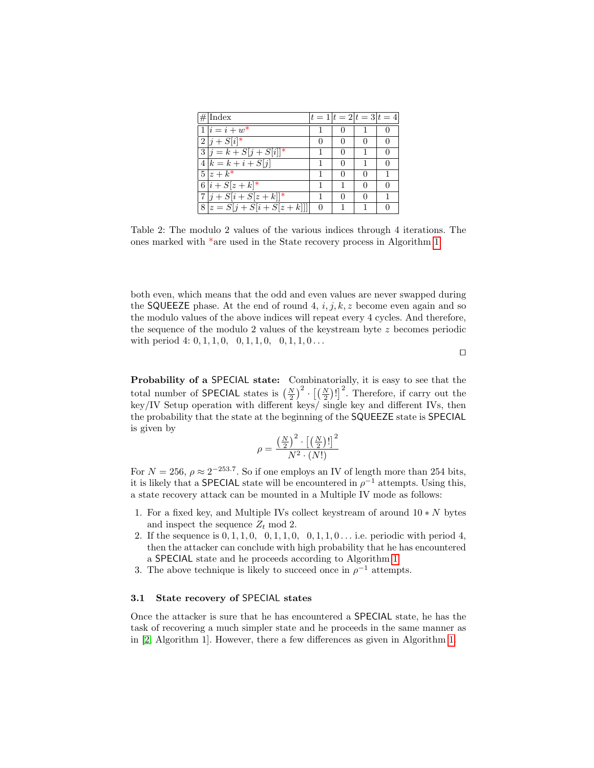<span id="page-9-0"></span>

| $\#\overline{\text{Index}}$     | $ t=1 t=2 t=3 t=4$ |              |              |   |
|---------------------------------|--------------------|--------------|--------------|---|
| $1 i = i + w^*$                 |                    |              |              |   |
| $\overline{2 j+S[i]^*}$         |                    | $\mathbf{0}$ |              |   |
| $3 j=k+S[j+S[i]]^*$             |                    | 0            |              | 0 |
| $\overline{4 k} = k + i + S[j]$ |                    | $\mathbf{0}$ |              |   |
| $5 z+k^*$                       |                    | ∩            | $\mathbf{0}$ |   |
| $6 i+ S[z+k]^*$                 |                    |              | ∩            | 0 |
| $7 j + S[i + S[z + k]]^{*}$     |                    |              |              |   |
| $8 z = S[j + S[i + S[z + k]]]$  |                    |              |              |   |

Table 2: The modulo 2 values of the various indices through 4 iterations. The ones marked with \*are used in the State recovery process in Algorithm [1](#page-11-0)

both even, which means that the odd and even values are never swapped during the SQUEEZE phase. At the end of round 4,  $i, j, k, z$  become even again and so the modulo values of the above indices will repeat every 4 cycles. And therefore, the sequence of the modulo 2 values of the keystream byte z becomes periodic with period 4:  $0, 1, 1, 0, 0, 1, 1, 0, 0, 1, 1, 0 \ldots$ 

 $\Box$ 

Probability of a SPECIAL state: Combinatorially, it is easy to see that the total number of SPECIAL states is  $\left(\frac{N}{2}\right)^2 \cdot \left[\left(\frac{N}{2}\right)! \right]^2$ . Therefore, if carry out the key/IV Setup operation with different keys/ single key and different IVs, then the probability that the state at the beginning of the SQUEEZE state is SPECIAL is given by

$$
\rho = \frac{\left(\frac{N}{2}\right)^2 \cdot \left[\left(\frac{N}{2}\right)!\right]^2}{N^2 \cdot (N!)}
$$

For  $N = 256$ ,  $\rho \approx 2^{-253.7}$ . So if one employs an IV of length more than 254 bits, it is likely that a **SPECIAL** state will be encountered in  $\rho^{-1}$  attempts. Using this, a state recovery attack can be mounted in a Multiple IV mode as follows:

- 1. For a fixed key, and Multiple IVs collect keystream of around  $10*N$  bytes and inspect the sequence  $Z_t \mod 2$ .
- 2. If the sequence is  $0, 1, 1, 0, 0, 1, 1, 0, 0, 1, 1, 0...$  i.e. periodic with period 4, then the attacker can conclude with high probability that he has encountered a SPECIAL state and he proceeds according to Algorithm [1.](#page-11-0)
- 3. The above technique is likely to succeed once in  $\rho^{-1}$  attempts.

#### 3.1 State recovery of SPECIAL states

Once the attacker is sure that he has encountered a SPECIAL state, he has the task of recovering a much simpler state and he proceeds in the same manner as in [\[2,](#page-14-16) Algorithm 1]. However, there a few differences as given in Algorithm [1.](#page-11-0)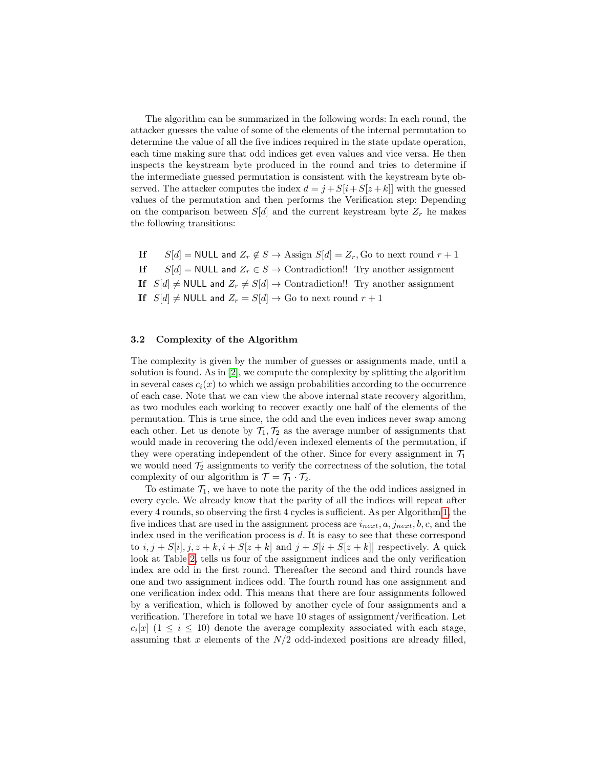The algorithm can be summarized in the following words: In each round, the attacker guesses the value of some of the elements of the internal permutation to determine the value of all the five indices required in the state update operation, each time making sure that odd indices get even values and vice versa. He then inspects the keystream byte produced in the round and tries to determine if the intermediate guessed permutation is consistent with the keystream byte observed. The attacker computes the index  $d = j + S[i + S[z + k]]$  with the guessed values of the permutation and then performs the Verification step: Depending on the comparison between  $S[d]$  and the current keystream byte  $Z_r$  he makes the following transitions:

If  $S[d] = \text{NULL}$  and  $Z_r \notin S \to \text{Assign } S[d] = Z_r$ , Go to next round  $r + 1$ If  $S[d] = \text{NULL}$  and  $Z_r \in S \rightarrow \text{Contraction}$ ! Try another assignment If  $S[d] \neq \text{NULL}$  and  $Z_r \neq S[d] \rightarrow \text{Contraction}$ !! Try another assignment If  $S[d] \neq$  NULL and  $Z_r = S[d] \rightarrow$  Go to next round  $r + 1$ 

# 3.2 Complexity of the Algorithm

The complexity is given by the number of guesses or assignments made, until a solution is found. As in [\[2\]](#page-14-16), we compute the complexity by splitting the algorithm in several cases  $c_i(x)$  to which we assign probabilities according to the occurrence of each case. Note that we can view the above internal state recovery algorithm, as two modules each working to recover exactly one half of the elements of the permutation. This is true since, the odd and the even indices never swap among each other. Let us denote by  $\mathcal{T}_1, \mathcal{T}_2$  as the average number of assignments that would made in recovering the odd/even indexed elements of the permutation, if they were operating independent of the other. Since for every assignment in  $\mathcal{T}_1$ we would need  $\mathcal{T}_2$  assignments to verify the correctness of the solution, the total complexity of our algorithm is  $\mathcal{T} = \mathcal{T}_1 \cdot \mathcal{T}_2$ .

To estimate  $\mathcal{T}_1$ , we have to note the parity of the the odd indices assigned in every cycle. We already know that the parity of all the indices will repeat after every 4 rounds, so observing the first 4 cycles is sufficient. As per Algorithm [1,](#page-11-0) the five indices that are used in the assignment process are  $i_{next}, a, j_{next}, b, c$ , and the index used in the verification process is d. It is easy to see that these correspond to  $i, j + S[i], j, z + k, i + S[z + k]$  and  $j + S[i + S[z + k]]$  respectively. A quick look at Table [2,](#page-9-0) tells us four of the assignment indices and the only verification index are odd in the first round. Thereafter the second and third rounds have one and two assignment indices odd. The fourth round has one assignment and one verification index odd. This means that there are four assignments followed by a verification, which is followed by another cycle of four assignments and a verification. Therefore in total we have 10 stages of assignment/verification. Let  $c_i[x]$  (1  $\leq i \leq 10$ ) denote the average complexity associated with each stage, assuming that x elements of the  $N/2$  odd-indexed positions are already filled,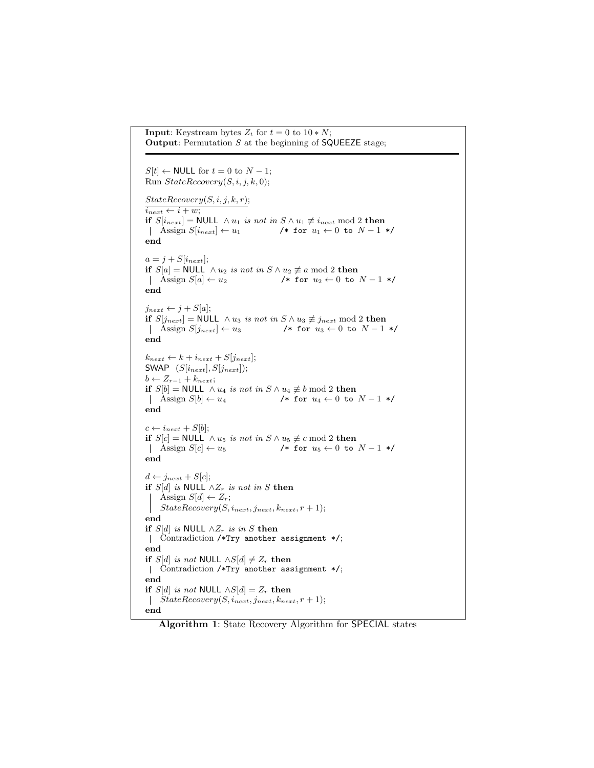```
Input: Keystream bytes Z_t for t = 0 to 10*N;
Output: Permutation S at the beginning of SQUEEZE stage;
S[t] \leftarrow \text{NULL} for t = 0 to N - 1;
Run StateRecovery(S, i, j, k, 0);StateRecovery(S, i, j, k, r);i_{next} \leftarrow i + w;if S[i_{next}] = NULL ∧ u_1 is not in S \wedge u_1 \neq i_{next} mod 2 then
Assign S[i_{next}] \leftarrow u_1 /* for u_1 \leftarrow 0 to N-1 */
end
a = j + S[i_{next}];if S[a] = \text{NULL} \wedge u_2 is not in S \wedge u_2 \not\equiv a \mod 2 then<br>
| Assign S[a] \leftarrow u_2 /* for u_2 \leftarrow 0 to
                                             /* for u_2 \leftarrow 0 to N - 1 */
end
j_{next} \leftarrow j + S[a];if S[j_{next}] = NULL ∧ u_3 is not in S \wedge u_3 \not\equiv j_{next} \mod 2 then
\left| \quad \text{Assign } S[j_{next}] \leftarrow u_3 /* for u_3 \leftarrow 0 to N - 1 */
end
k_{next} \leftarrow k + i_{next} + S[j_{next}];SWAP (S[i_{next}], S[j_{next}]);
b \leftarrow Z_{r-1} + k_{next};if S[b] = \text{NULL} \wedge u_4 is not in S \wedge u_4 \not\equiv b \mod 2 then<br>
| Assign S[b] \leftarrow u_4 /* for u_4 \leftarrow 0 to
                                             /* for u_4 \leftarrow 0 to N - 1 */
end
c \leftarrow i_{next} + S[b];if S[c] = \text{NULL} \wedge u_5 is not in S \wedge u_5 \not\equiv c \mod 2 then<br>
| Assign S[c] \leftarrow u_5 /* for u_5 \leftarrow 0 to
                                            /* for u_5 \leftarrow 0 to N - 1 */
end
d \leftarrow j_{next} + S[c];if S[d] is NULL ∧Z_r is not in S then
     Assign S[d] \leftarrow Z_r;
    StateRecovery(S, i_{next}, j_{next}, k_{next}, r + 1);end
if S[d] is NULL \wedge Z_r is in S then
| Contradiction /*Try another assignment */;
end
if S[d] is not NULL ∧S[d] \neq Z_r then
| Contradiction /*Try another assignment */;
end
if S[d] is not NULL ∧S[d] = Z_r then
\left| \quad \text{StateRecovery}(S, i_{next}, j_{next}, k_{next}, r+1); \right|end
```
Algorithm 1: State Recovery Algorithm for SPECIAL states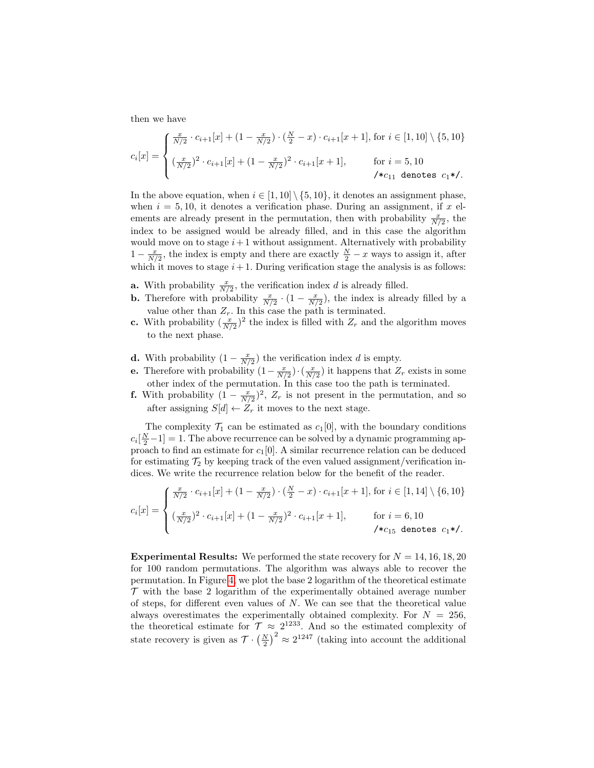then we have

$$
c_i[x] = \begin{cases} \frac{x}{N/2} \cdot c_{i+1}[x] + (1 - \frac{x}{N/2}) \cdot (\frac{N}{2} - x) \cdot c_{i+1}[x+1], \text{ for } i \in [1, 10] \setminus \{5, 10\} \\ (\frac{x}{N/2})^2 \cdot c_{i+1}[x] + (1 - \frac{x}{N/2})^2 \cdot c_{i+1}[x+1], & \text{ for } i = 5, 10 \\ \mathcal{H}c_{11} \text{ denotes } c_1 \mathcal{H}. \end{cases}
$$

In the above equation, when  $i \in [1, 10] \setminus \{5, 10\}$ , it denotes an assignment phase, when  $i = 5, 10$ , it denotes a verification phase. During an assignment, if x elements are already present in the permutation, then with probability  $\frac{x}{N/2}$ , the index to be assigned would be already filled, and in this case the algorithm would move on to stage  $i+1$  without assignment. Alternatively with probability  $1 - \frac{x}{N/2}$ , the index is empty and there are exactly  $\frac{N}{2} - x$  ways to assign it, after which it moves to stage  $i+1$ . During verification stage the analysis is as follows:

- **a.** With probability  $\frac{x}{N/2}$ , the verification index d is already filled.
- **b.** Therefore with probability  $\frac{x}{N/2} \cdot (1 \frac{x}{N/2})$ , the index is already filled by a value other than  $Z_r$ . In this case the path is terminated.
- **c.** With probability  $(\frac{x}{N/2})^2$  the index is filled with  $Z_r$  and the algorithm moves to the next phase.
- **d.** With probability  $(1 \frac{x}{N/2})$  the verification index d is empty.
- **e.** Therefore with probability  $(1 \frac{x}{N/2}) \cdot (\frac{x}{N/2})$  it happens that  $Z_r$  exists in some other index of the permutation. In this case too the path is terminated.
- **f.** With probability  $(1 \frac{x}{N/2})^2$ ,  $Z_r$  is not present in the permutation, and so after assigning  $S[d] \leftarrow Z_r$  it moves to the next stage.

The complexity  $\mathcal{T}_1$  can be estimated as  $c_1[0]$ , with the boundary conditions  $c_i\left[\frac{N}{2}-1\right]=1$ . The above recurrence can be solved by a dynamic programming approach to find an estimate for  $c_1[0]$ . A similar recurrence relation can be deduced for estimating  $\mathcal{T}_2$  by keeping track of the even valued assignment/verification indices. We write the recurrence relation below for the benefit of the reader.

$$
c_i[x] = \begin{cases} \frac{x}{N/2} \cdot c_{i+1}[x] + (1 - \frac{x}{N/2}) \cdot (\frac{N}{2} - x) \cdot c_{i+1}[x+1], \text{ for } i \in [1, 14] \setminus \{6, 10\} \\ (\frac{x}{N/2})^2 \cdot c_{i+1}[x] + (1 - \frac{x}{N/2})^2 \cdot c_{i+1}[x+1], & \text{ for } i = 6, 10 \end{cases}
$$
  
\n
$$
k_{c_{15}} \text{ denotes } c_1 * \text{.}
$$

**Experimental Results:** We performed the state recovery for  $N = 14, 16, 18, 20$ for 100 random permutations. The algorithm was always able to recover the permutation. In Figure [4,](#page-13-2) we plot the base 2 logarithm of the theoretical estimate  $\mathcal T$  with the base 2 logarithm of the experimentally obtained average number of steps, for different even values of  $N$ . We can see that the theoretical value always overestimates the experimentally obtained complexity. For  $N = 256$ , the theoretical estimate for  $\mathcal{T} \approx 2^{1233}$ . And so the estimated complexity of state recovery is given as  $\mathcal{T} \cdot \left(\frac{N}{2}\right)^2 \approx 2^{1247}$  (taking into account the additional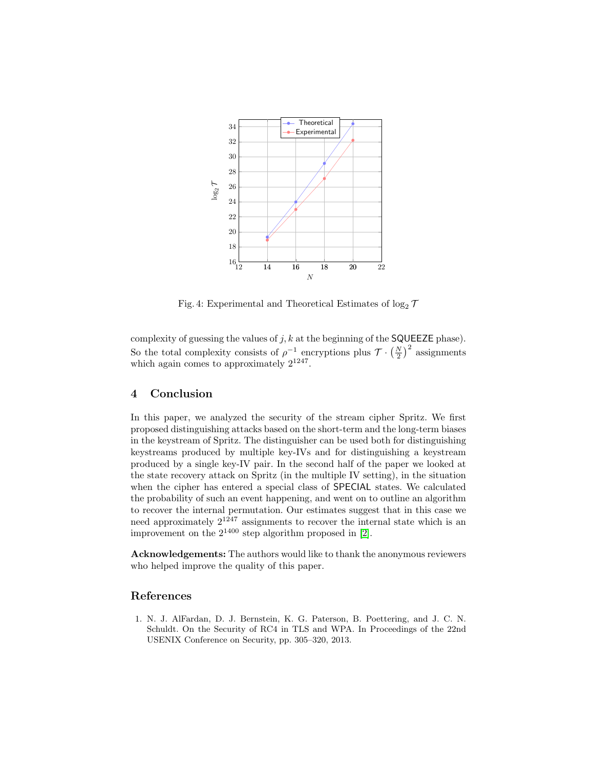<span id="page-13-2"></span>

Fig. 4: Experimental and Theoretical Estimates of  $\log_2 \mathcal{T}$ 

complexity of guessing the values of  $j, k$  at the beginning of the **SQUEEZE** phase). So the total complexity consists of  $\rho^{-1}$  encryptions plus  $\mathcal{T} \cdot \left(\frac{N}{2}\right)^2$  assignments which again comes to approximately  $2^{1247}$ .

# <span id="page-13-1"></span>4 Conclusion

In this paper, we analyzed the security of the stream cipher Spritz. We first proposed distinguishing attacks based on the short-term and the long-term biases in the keystream of Spritz. The distinguisher can be used both for distinguishing keystreams produced by multiple key-IVs and for distinguishing a keystream produced by a single key-IV pair. In the second half of the paper we looked at the state recovery attack on Spritz (in the multiple IV setting), in the situation when the cipher has entered a special class of SPECIAL states. We calculated the probability of such an event happening, and went on to outline an algorithm to recover the internal permutation. Our estimates suggest that in this case we need approximately  $2^{1247}$  assignments to recover the internal state which is an improvement on the  $2^{1400}$  step algorithm proposed in [\[2\]](#page-14-16).

Acknowledgements: The authors would like to thank the anonymous reviewers who helped improve the quality of this paper.

# References

<span id="page-13-0"></span>1. N. J. AlFardan, D. J. Bernstein, K. G. Paterson, B. Poettering, and J. C. N. Schuldt. On the Security of RC4 in TLS and WPA. In Proceedings of the 22nd USENIX Conference on Security, pp. 305–320, 2013.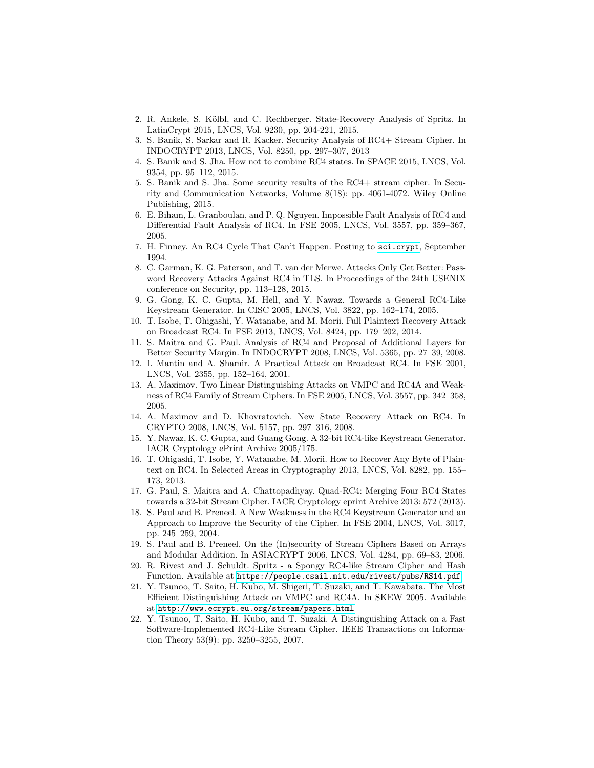- <span id="page-14-16"></span>2. R. Ankele, S. Kölbl, and C. Rechberger. State-Recovery Analysis of Spritz. In LatinCrypt 2015, LNCS, Vol. 9230, pp. 204-221, 2015.
- <span id="page-14-6"></span>3. S. Banik, S. Sarkar and R. Kacker. Security Analysis of RC4+ Stream Cipher. In INDOCRYPT 2013, LNCS, Vol. 8250, pp. 297–307, 2013
- <span id="page-14-7"></span>4. S. Banik and S. Jha. How not to combine RC4 states. In SPACE 2015, LNCS, Vol. 9354, pp. 95–112, 2015.
- <span id="page-14-8"></span>5. S. Banik and S. Jha. Some security results of the RC4+ stream cipher. In Security and Communication Networks, Volume 8(18): pp. 4061-4072. Wiley Online Publishing, 2015.
- 6. E. Biham, L. Granboulan, and P. Q. Nguyen. Impossible Fault Analysis of RC4 and Differential Fault Analysis of RC4. In FSE 2005, LNCS, Vol. 3557, pp. 359–367, 2005.
- 7. H. Finney. An RC4 Cycle That Can't Happen. Posting to <sci.crypt>, September 1994.
- <span id="page-14-18"></span>8. C. Garman, K. G. Paterson, and T. van der Merwe. Attacks Only Get Better: Password Recovery Attacks Against RC4 in TLS. In Proceedings of the 24th USENIX conference on Security, pp. 113–128, 2015.
- <span id="page-14-3"></span>9. G. Gong, K. C. Gupta, M. Hell, and Y. Nawaz. Towards a General RC4-Like Keystream Generator. In CISC 2005, LNCS, Vol. 3822, pp. 162–174, 2005.
- <span id="page-14-0"></span>10. T. Isobe, T. Ohigashi, Y. Watanabe, and M. Morii. Full Plaintext Recovery Attack on Broadcast RC4. In FSE 2013, LNCS, Vol. 8424, pp. 179–202, 2014.
- <span id="page-14-5"></span>11. S. Maitra and G. Paul. Analysis of RC4 and Proposal of Additional Layers for Better Security Margin. In INDOCRYPT 2008, LNCS, Vol. 5365, pp. 27–39, 2008.
- <span id="page-14-14"></span>12. I. Mantin and A. Shamir. A Practical Attack on Broadcast RC4. In FSE 2001, LNCS, Vol. 2355, pp. 152–164, 2001.
- <span id="page-14-9"></span>13. A. Maximov. Two Linear Distinguishing Attacks on VMPC and RC4A and Weakness of RC4 Family of Stream Ciphers. In FSE 2005, LNCS, Vol. 3557, pp. 342–358, 2005.
- <span id="page-14-15"></span>14. A. Maximov and D. Khovratovich. New State Recovery Attack on RC4. In CRYPTO 2008, LNCS, Vol. 5157, pp. 297–316, 2008.
- <span id="page-14-2"></span>15. Y. Nawaz, K. C. Gupta, and Guang Gong. A 32-bit RC4-like Keystream Generator. IACR Cryptology ePrint Archive 2005/175.
- <span id="page-14-17"></span>16. T. Ohigashi, T. Isobe, Y. Watanabe, M. Morii. How to Recover Any Byte of Plaintext on RC4. In Selected Areas in Cryptography 2013, LNCS, Vol. 8282, pp. 155– 173, 2013.
- <span id="page-14-4"></span>17. G. Paul, S. Maitra and A. Chattopadhyay. Quad-RC4: Merging Four RC4 States towards a 32-bit Stream Cipher. IACR Cryptology eprint Archive 2013: 572 (2013).
- <span id="page-14-1"></span>18. S. Paul and B. Preneel. A New Weakness in the RC4 Keystream Generator and an Approach to Improve the Security of the Cipher. In FSE 2004, LNCS, Vol. 3017, pp. 245–259, 2004.
- <span id="page-14-10"></span>19. S. Paul and B. Preneel. On the (In)security of Stream Ciphers Based on Arrays and Modular Addition. In ASIACRYPT 2006, LNCS, Vol. 4284, pp. 69–83, 2006.
- <span id="page-14-13"></span>20. R. Rivest and J. Schuldt. Spritz - a Spongy RC4-like Stream Cipher and Hash Function. Available at <https://people.csail.mit.edu/rivest/pubs/RS14.pdf>.
- <span id="page-14-11"></span>21. Y. Tsunoo, T. Saito, H. Kubo, M. Shigeri, T. Suzaki, and T. Kawabata. The Most Efficient Distinguishing Attack on VMPC and RC4A. In SKEW 2005. Available at <http://www.ecrypt.eu.org/stream/papers.html>
- <span id="page-14-12"></span>22. Y. Tsunoo, T. Saito, H. Kubo, and T. Suzaki. A Distinguishing Attack on a Fast Software-Implemented RC4-Like Stream Cipher. IEEE Transactions on Information Theory 53(9): pp. 3250–3255, 2007.